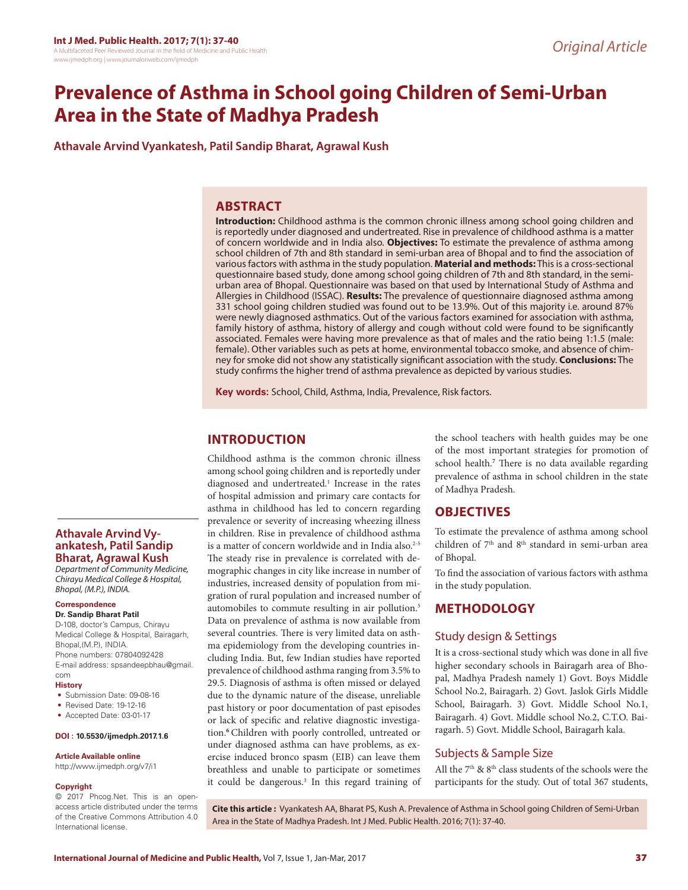# **Prevalence of Asthma in School going Children of Semi-Urban Area in the State of Madhya Pradesh**

**Athavale Arvind Vyankatesh, Patil Sandip Bharat, Agrawal Kush**

### **ABSTRACT**

**Introduction:** Childhood asthma is the common chronic illness among school going children and is reportedly under diagnosed and undertreated. Rise in prevalence of childhood asthma is a matter of concern worldwide and in India also. **Objectives:** To estimate the prevalence of asthma among school children of 7th and 8th standard in semi-urban area of Bhopal and to find the association of various factors with asthma in the study population. **Material and methods:** This is a cross-sectional questionnaire based study, done among school going children of 7th and 8th standard, in the semiurban area of Bhopal. Questionnaire was based on that used by International Study of Asthma and Allergies in Childhood (ISSAC). **Results:** The prevalence of questionnaire diagnosed asthma among 331 school going children studied was found out to be 13.9%. Out of this majority i.e. around 87% were newly diagnosed asthmatics. Out of the various factors examined for association with asthma, family history of asthma, history of allergy and cough without cold were found to be significantly associated. Females were having more prevalence as that of males and the ratio being 1:1.5 (male: female). Other variables such as pets at home, environmental tobacco smoke, and absence of chimney for smoke did not show any statistically significant association with the study. **Conclusions:** The study confirms the higher trend of asthma prevalence as depicted by various studies.

**Key words:** School, Child, Asthma, India, Prevalence, Risk factors.

## **INTRODUCTION**

Childhood asthma is the common chronic illness among school going children and is reportedly under diagnosed and undertreated.<sup>1</sup> Increase in the rates of hospital admission and primary care contacts for asthma in childhood has led to concern regarding prevalence or severity of increasing wheezing illness in children. Rise in prevalence of childhood asthma is a matter of concern worldwide and in India also.<sup>2-5</sup> The steady rise in prevalence is correlated with demographic changes in city like increase in number of industries, increased density of population from migration of rural population and increased number of automobiles to commute resulting in air pollution.5 Data on prevalence of asthma is now available from several countries. There is very limited data on asthma epidemiology from the developing countries including India. But, few Indian studies have reported prevalence of childhood asthma ranging from 3.5% to 29.5. Diagnosis of asthma is often missed or delayed due to the dynamic nature of the disease, unreliable past history or poor documentation of past episodes or lack of specific and relative diagnostic investigation.**<sup>6</sup>**Children with poorly controlled, untreated or under diagnosed asthma can have problems, as exercise induced bronco spasm (EIB) can leave them breathless and unable to participate or sometimes it could be dangerous.<sup>3</sup> In this regard training of the school teachers with health guides may be one of the most important strategies for promotion of school health.**<sup>7</sup>** There is no data available regarding prevalence of asthma in school children in the state of Madhya Pradesh.

### **OBJECTIVES**

To estimate the prevalence of asthma among school children of 7<sup>th</sup> and 8<sup>th</sup> standard in semi-urban area of Bhopal.

To find the association of various factors with asthma in the study population.

# **METHODOLOGY**

### Study design & Settings

It is a cross-sectional study which was done in all five higher secondary schools in Bairagarh area of Bhopal, Madhya Pradesh namely 1) Govt. Boys Middle School No.2, Bairagarh. 2) Govt. Jaslok Girls Middle School, Bairagarh. 3) Govt. Middle School No.1, Bairagarh. 4) Govt. Middle school No.2, C.T.O. Bairagarh. 5) Govt. Middle School, Bairagarh kala.

### Subjects & Sample Size

All the  $7<sup>th</sup>$  &  $8<sup>th</sup>$  class students of the schools were the participants for the study. Out of total 367 students,

access article distributed under the terms of the Creative Commons Attribution 4.0 International license.

**Cite this article :** Vyankatesh AA, Bharat PS, Kush A. Prevalence of Asthma in School going Children of Semi-Urban Area in the State of Madhya Pradesh. Int J Med. Public Health. 2016; 7(1): 37-40.

# **Athavale Arvind Vy- ankatesh, Patil Sandip Bharat, Agrawal Kush**

*Department of Community Medicine, Chirayu Medical College & Hospital, Bhopal, (M.P.), INDIA.*

### **Correspondence**

### **Dr. Sandip Bharat Patil**

D-108, doctor's Campus, Chirayu Medical College & Hospital, Bairagarh, Bhopal, (M.P.), INDIA. Phone numbers: 07804092428 E-mail address: spsandeepbhau@gmail. com

### **History**

- Submission Date: 09-08-16
- Revised Date: 19-12-16
- Accepted Date: 03-01-17

### **DOI : 10.5530/ijmedph.2017.1.6**

### **Article Available online**

http://www.ijmedph.org/v7/i1

### **Copyright**

© 2017 Phcog.Net. This is an open-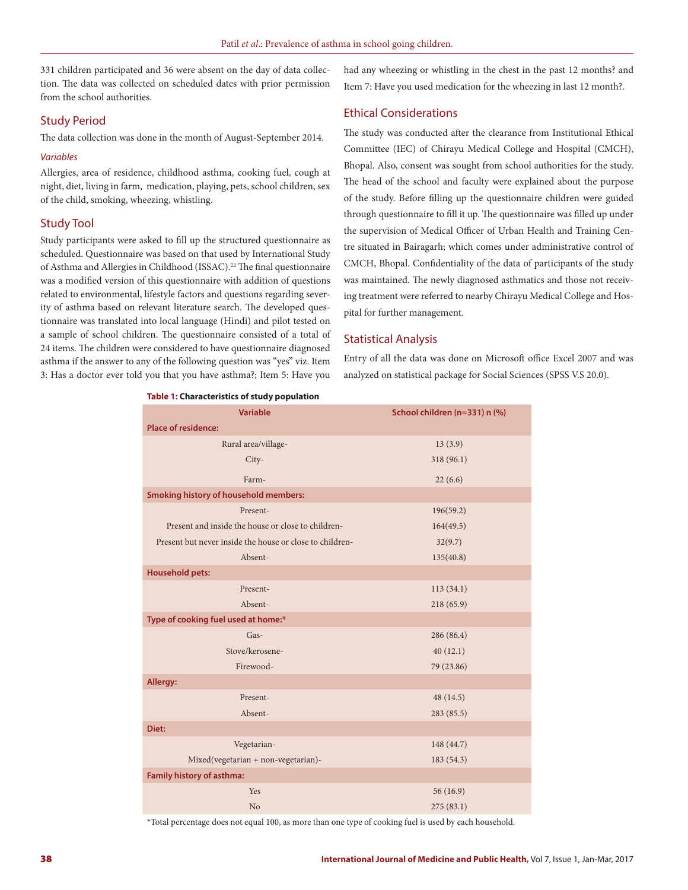331 children participated and 36 were absent on the day of data collection. The data was collected on scheduled dates with prior permission from the school authorities.

### Study Period

The data collection was done in the month of August-September 2014.

#### *Variables*

Allergies, area of residence, childhood asthma, cooking fuel, cough at night, diet, living in farm, medication, playing, pets, school children, sex of the child, smoking, wheezing, whistling.

### Study Tool

Study participants were asked to fill up the structured questionnaire as scheduled. Questionnaire was based on that used by International Study of Asthma and Allergies in Childhood (ISSAC).<sup>22</sup> The final questionnaire was a modified version of this questionnaire with addition of questions related to environmental, lifestyle factors and questions regarding severity of asthma based on relevant literature search. The developed questionnaire was translated into local language (Hindi) and pilot tested on a sample of school children. The questionnaire consisted of a total of 24 items. The children were considered to have questionnaire diagnosed asthma if the answer to any of the following question was "yes" viz. Item 3: Has a doctor ever told you that you have asthma?; Item 5: Have you

**Table 1: Characteristics of study population**

had any wheezing or whistling in the chest in the past 12 months? and Item 7: Have you used medication for the wheezing in last 12 month?.

### Ethical Considerations

The study was conducted after the clearance from Institutional Ethical Committee (IEC) of Chirayu Medical College and Hospital (CMCH), Bhopal. Also, consent was sought from school authorities for the study. The head of the school and faculty were explained about the purpose of the study. Before filling up the questionnaire children were guided through questionnaire to fill it up. The questionnaire was filled up under the supervision of Medical Officer of Urban Health and Training Centre situated in Bairagarh; which comes under administrative control of CMCH, Bhopal. Confidentiality of the data of participants of the study was maintained. The newly diagnosed asthmatics and those not receiving treatment were referred to nearby Chirayu Medical College and Hospital for further management.

### Statistical Analysis

Entry of all the data was done on Microsoft office Excel 2007 and was analyzed on statistical package for Social Sciences (SPSS V.S 20.0).

| <b>Variable</b>                                          | School children (n=331) n (%) |  |  |
|----------------------------------------------------------|-------------------------------|--|--|
| <b>Place of residence:</b>                               |                               |  |  |
| Rural area/village-                                      | 13(3.9)                       |  |  |
| City-                                                    | 318 (96.1)                    |  |  |
| Farm-                                                    | 22(6.6)                       |  |  |
| <b>Smoking history of household members:</b>             |                               |  |  |
| Present-                                                 | 196(59.2)                     |  |  |
| Present and inside the house or close to children-       | 164(49.5)                     |  |  |
| Present but never inside the house or close to children- | 32(9.7)                       |  |  |
| Absent-                                                  | 135(40.8)                     |  |  |
| <b>Household pets:</b>                                   |                               |  |  |
| Present-                                                 | 113(34.1)                     |  |  |
| Absent-                                                  | 218(65.9)                     |  |  |
| Type of cooking fuel used at home:*                      |                               |  |  |
| Gas-                                                     | 286 (86.4)                    |  |  |
| Stove/kerosene-                                          | 40(12.1)                      |  |  |
| Firewood-                                                | 79 (23.86)                    |  |  |
| Allergy:                                                 |                               |  |  |
| Present-                                                 | 48 (14.5)                     |  |  |
| Absent-                                                  | 283 (85.5)                    |  |  |
| Diet:                                                    |                               |  |  |
| Vegetarian-                                              | 148 (44.7)                    |  |  |
| Mixed(vegetarian + non-vegetarian)-                      | 183(54.3)                     |  |  |
| Family history of asthma:                                |                               |  |  |
| Yes                                                      | 56(16.9)                      |  |  |
| No                                                       | 275(83.1)                     |  |  |

\*Total percentage does not equal 100, as more than one type of cooking fuel is used by each household.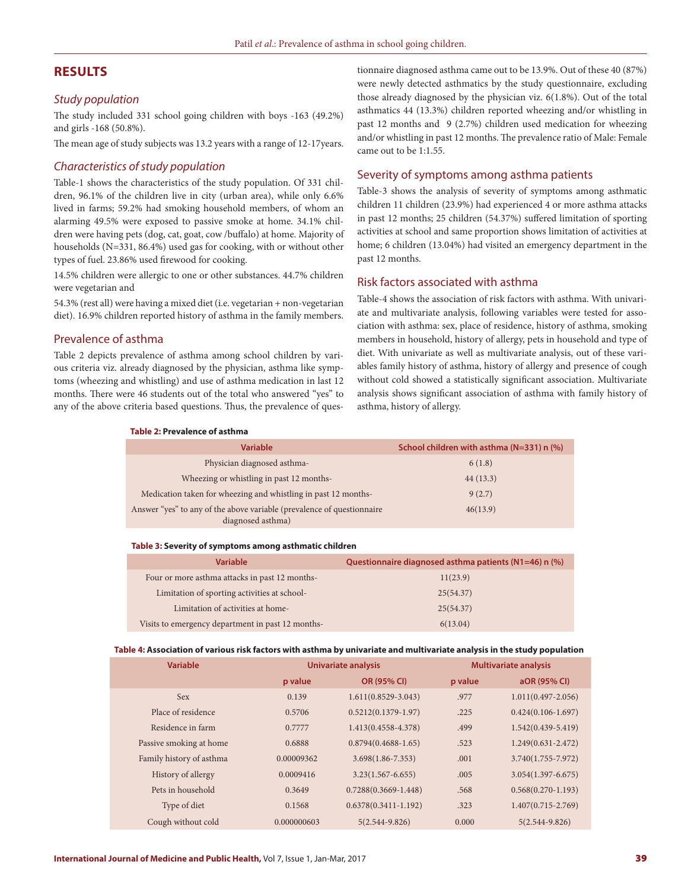## **RESULTS**

#### *Study population*

The study included 331 school going children with boys -163 (49.2%) and girls -168 (50.8%).

The mean age of study subjects was 13.2 years with a range of 12-17years.

#### *Characteristics of study population*

Table-1 shows the characteristics of the study population. Of 331 children, 96.1% of the children live in city (urban area), while only 6.6% lived in farms; 59.2% had smoking household members, of whom an alarming 49.5% were exposed to passive smoke at home. 34.1% children were having pets (dog, cat, goat, cow /buffalo) at home. Majority of households (N=331, 86.4%) used gas for cooking, with or without other types of fuel. 23.86% used firewood for cooking.

14.5% children were allergic to one or other substances. 44.7% children were vegetarian and

54.3% (rest all) were having a mixed diet (i.e. vegetarian + non-vegetarian diet). 16.9% children reported history of asthma in the family members.

#### Prevalence of asthma

Table 2 depicts prevalence of asthma among school children by various criteria viz. already diagnosed by the physician, asthma like symptoms (wheezing and whistling) and use of asthma medication in last 12 months. There were 46 students out of the total who answered "yes" to any of the above criteria based questions. Thus, the prevalence of questionnaire diagnosed asthma came out to be 13.9%. Out of these 40 (87%) were newly detected asthmatics by the study questionnaire, excluding those already diagnosed by the physician viz. 6(1.8%). Out of the total asthmatics 44 (13.3%) children reported wheezing and/or whistling in past 12 months and 9 (2.7%) children used medication for wheezing and/or whistling in past 12 months. The prevalence ratio of Male: Female came out to be 1:1.55.

### Severity of symptoms among asthma patients

Table-3 shows the analysis of severity of symptoms among asthmatic children 11 children (23.9%) had experienced 4 or more asthma attacks in past 12 months; 25 children (54.37%) suffered limitation of sporting activities at school and same proportion shows limitation of activities at home; 6 children (13.04%) had visited an emergency department in the past 12 months.

#### Risk factors associated with asthma

Table-4 shows the association of risk factors with asthma. With univariate and multivariate analysis, following variables were tested for association with asthma: sex, place of residence, history of asthma, smoking members in household, history of allergy, pets in household and type of diet. With univariate as well as multivariate analysis, out of these variables family history of asthma, history of allergy and presence of cough without cold showed a statistically significant association. Multivariate analysis shows significant association of asthma with family history of asthma, history of allergy.

#### **Table 2: Prevalence of asthma**

| <b>Variable</b>                                                                             | School children with asthma (N=331) n (%) |
|---------------------------------------------------------------------------------------------|-------------------------------------------|
| Physician diagnosed asthma-                                                                 | 6(1.8)                                    |
| Wheezing or whistling in past 12 months-                                                    | 44(13.3)                                  |
| Medication taken for wheezing and whistling in past 12 months-                              | 9(2.7)                                    |
| Answer "yes" to any of the above variable (prevalence of questionnaire<br>diagnosed asthma) | 46(13.9)                                  |

#### **Table 3: Severity of symptoms among asthmatic children**

| <b>Variable</b>                                   | Questionnaire diagnosed asthma patients (N1=46) n (%) |
|---------------------------------------------------|-------------------------------------------------------|
| Four or more asthma attacks in past 12 months-    | 11(23.9)                                              |
| Limitation of sporting activities at school-      | 25(54.37)                                             |
| Limitation of activities at home-                 | 25(54.37)                                             |
| Visits to emergency department in past 12 months- | 6(13.04)                                              |

#### **Table 4: Association of various risk factors with asthma by univariate and multivariate analysis in the study population**

| <b>Variable</b>          | Univariate analysis |                          | <b>Multivariate analysis</b> |                        |
|--------------------------|---------------------|--------------------------|------------------------------|------------------------|
|                          | p value             | OR (95% CI)              | p value                      | aOR (95% CI)           |
| <b>Sex</b>               | 0.139               | $1.611(0.8529 - 3.043)$  | .977                         | $1.011(0.497 - 2.056)$ |
| Place of residence       | 0.5706              | $0.5212(0.1379-1.97)$    | .225                         | $0.424(0.106 - 1.697)$ |
| Residence in farm        | 0.7777              | $1.413(0.4558 - 4.378)$  | .499                         | $1.542(0.439 - 5.419)$ |
| Passive smoking at home  | 0.6888              | $0.8794(0.4688-1.65)$    | .523                         | $1.249(0.631 - 2.472)$ |
| Family history of asthma | 0.00009362          | $3.698(1.86 - 7.353)$    | .001                         | $3.740(1.755 - 7.972)$ |
| History of allergy       | 0.0009416           | $3.23(1.567 - 6.655)$    | .005                         | $3.054(1.397 - 6.675)$ |
| Pets in household        | 0.3649              | $0.7288(0.3669 - 1.448)$ | .568                         | $0.568(0.270-1.193)$   |
| Type of diet             | 0.1568              | $0.6378(0.3411 - 1.192)$ | .323                         | $1.407(0.715 - 2.769)$ |
| Cough without cold       | 0.000000603         | $5(2.544 - 9.826)$       | 0.000                        | $5(2.544 - 9.826)$     |